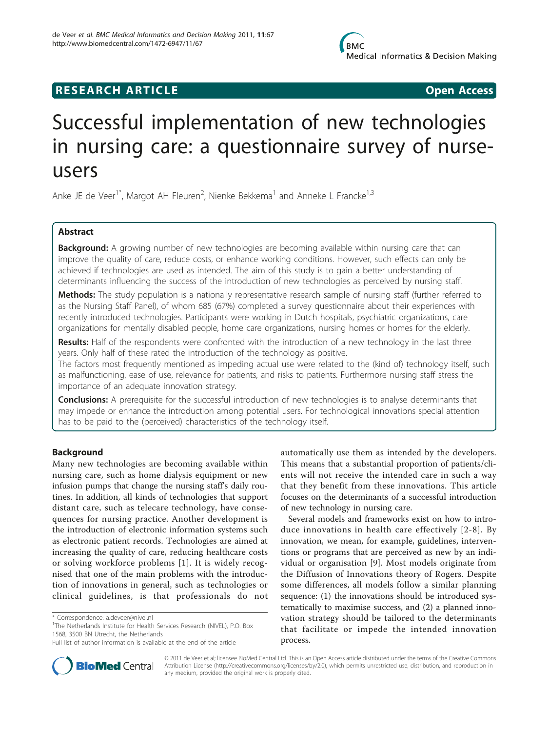# **RESEARCH ARTICLE Example 2018 12:00 Open Access**

# Successful implementation of new technologies in nursing care: a questionnaire survey of nurseusers

Anke JE de Veer<sup>1\*</sup>, Margot AH Fleuren<sup>2</sup>, Nienke Bekkema<sup>1</sup> and Anneke L Francke<sup>1,3</sup>

# Abstract

Background: A growing number of new technologies are becoming available within nursing care that can improve the quality of care, reduce costs, or enhance working conditions. However, such effects can only be achieved if technologies are used as intended. The aim of this study is to gain a better understanding of determinants influencing the success of the introduction of new technologies as perceived by nursing staff.

Methods: The study population is a nationally representative research sample of nursing staff (further referred to as the Nursing Staff Panel), of whom 685 (67%) completed a survey questionnaire about their experiences with recently introduced technologies. Participants were working in Dutch hospitals, psychiatric organizations, care organizations for mentally disabled people, home care organizations, nursing homes or homes for the elderly.

Results: Half of the respondents were confronted with the introduction of a new technology in the last three years. Only half of these rated the introduction of the technology as positive.

The factors most frequently mentioned as impeding actual use were related to the (kind of) technology itself, such as malfunctioning, ease of use, relevance for patients, and risks to patients. Furthermore nursing staff stress the importance of an adequate innovation strategy.

**Conclusions:** A prerequisite for the successful introduction of new technologies is to analyse determinants that may impede or enhance the introduction among potential users. For technological innovations special attention has to be paid to the (perceived) characteristics of the technology itself.

# Background

Many new technologies are becoming available within nursing care, such as home dialysis equipment or new infusion pumps that change the nursing staff's daily routines. In addition, all kinds of technologies that support distant care, such as telecare technology, have consequences for nursing practice. Another development is the introduction of electronic information systems such as electronic patient records. Technologies are aimed at increasing the quality of care, reducing healthcare costs or solving workforce problems [[1](#page-10-0)]. It is widely recognised that one of the main problems with the introduction of innovations in general, such as technologies or clinical guidelines, is that professionals do not

automatically use them as intended by the developers. This means that a substantial proportion of patients/clients will not receive the intended care in such a way that they benefit from these innovations. This article focuses on the determinants of a successful introduction of new technology in nursing care.

Several models and frameworks exist on how to introduce innovations in health care effectively [\[2-8](#page-10-0)]. By innovation, we mean, for example, guidelines, interventions or programs that are perceived as new by an individual or organisation [[9\]](#page-10-0). Most models originate from the Diffusion of Innovations theory of Rogers. Despite some differences, all models follow a similar planning sequence: (1) the innovations should be introduced systematically to maximise success, and (2) a planned innovation strategy should be tailored to the determinants that facilitate or impede the intended innovation process.



© 2011 de Veer et al; licensee BioMed Central Ltd. This is an Open Access article distributed under the terms of the Creative Commons Attribution License [\(http://creativecommons.org/licenses/by/2.0](http://creativecommons.org/licenses/by/2.0)), which permits unrestricted use, distribution, and reproduction in any medium, provided the original work is properly cited.

<sup>\*</sup> Correspondence: [a.deveer@nivel.nl](mailto:a.deveer@nivel.nl)

<sup>&</sup>lt;sup>1</sup>The Netherlands Institute for Health Services Research (NIVEL), P.O. Box 1568, 3500 BN Utrecht, the Netherlands

Full list of author information is available at the end of the article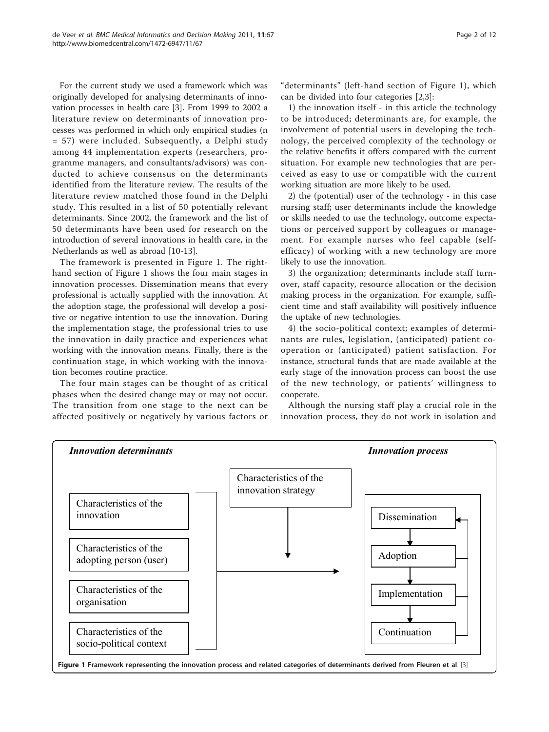<span id="page-1-0"></span>For the current study we used a framework which was originally developed for analysing determinants of innovation processes in health care [[3\]](#page-10-0). From 1999 to 2002 a literature review on determinants of innovation processes was performed in which only empirical studies (n = 57) were included. Subsequently, a Delphi study among 44 implementation experts (researchers, programme managers, and consultants/advisors) was conducted to achieve consensus on the determinants identified from the literature review. The results of the literature review matched those found in the Delphi study. This resulted in a list of 50 potentially relevant determinants. Since 2002, the framework and the list of 50 determinants have been used for research on the introduction of several innovations in health care, in the Netherlands as well as abroad [[10-13](#page-10-0)].

The framework is presented in Figure 1. The righthand section of Figure 1 shows the four main stages in innovation processes. Dissemination means that every professional is actually supplied with the innovation. At the adoption stage, the professional will develop a positive or negative intention to use the innovation. During the implementation stage, the professional tries to use the innovation in daily practice and experiences what working with the innovation means. Finally, there is the continuation stage, in which working with the innovation becomes routine practice.

The four main stages can be thought of as critical phases when the desired change may or may not occur. The transition from one stage to the next can be affected positively or negatively by various factors or

"determinants" (left-hand section of Figure 1), which can be divided into four categories [[2,3\]](#page-10-0):

1) the innovation itself - in this article the technology to be introduced; determinants are, for example, the involvement of potential users in developing the technology, the perceived complexity of the technology or the relative benefits it offers compared with the current situation. For example new technologies that are perceived as easy to use or compatible with the current working situation are more likely to be used.

2) the (potential) user of the technology - in this case nursing staff; user determinants include the knowledge or skills needed to use the technology, outcome expectations or perceived support by colleagues or management. For example nurses who feel capable (selfefficacy) of working with a new technology are more likely to use the innovation.

3) the organization; determinants include staff turnover, staff capacity, resource allocation or the decision making process in the organization. For example, sufficient time and staff availability will positively influence the uptake of new technologies.

4) the socio-political context; examples of determinants are rules, legislation, (anticipated) patient cooperation or (anticipated) patient satisfaction. For instance, structural funds that are made available at the early stage of the innovation process can boost the use of the new technology, or patients' willingness to cooperate.

Although the nursing staff play a crucial role in the innovation process, they do not work in isolation and

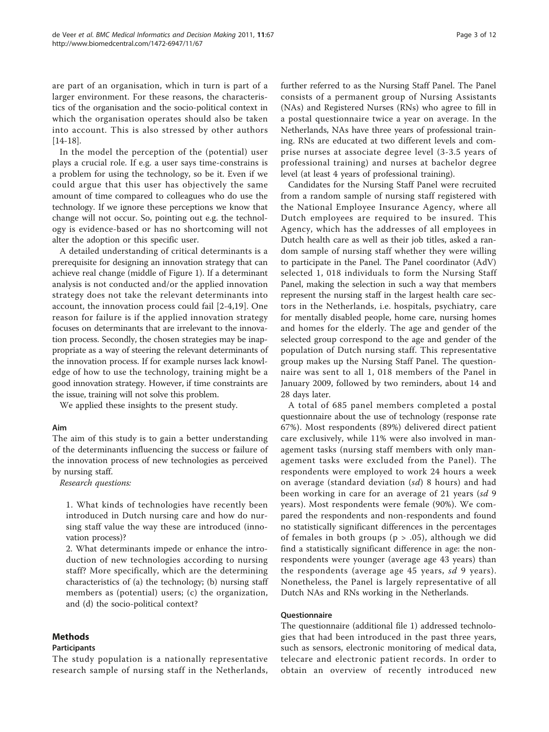are part of an organisation, which in turn is part of a larger environment. For these reasons, the characteristics of the organisation and the socio-political context in which the organisation operates should also be taken into account. This is also stressed by other authors [[14-](#page-10-0)[18\]](#page-11-0).

In the model the perception of the (potential) user plays a crucial role. If e.g. a user says time-constrains is a problem for using the technology, so be it. Even if we could argue that this user has objectively the same amount of time compared to colleagues who do use the technology. If we ignore these perceptions we know that change will not occur. So, pointing out e.g. the technology is evidence-based or has no shortcoming will not alter the adoption or this specific user.

A detailed understanding of critical determinants is a prerequisite for designing an innovation strategy that can achieve real change (middle of Figure [1\)](#page-1-0). If a determinant analysis is not conducted and/or the applied innovation strategy does not take the relevant determinants into account, the innovation process could fail [\[2](#page-10-0)-[4](#page-10-0)[,19](#page-11-0)]. One reason for failure is if the applied innovation strategy focuses on determinants that are irrelevant to the innovation process. Secondly, the chosen strategies may be inappropriate as a way of steering the relevant determinants of the innovation process. If for example nurses lack knowledge of how to use the technology, training might be a good innovation strategy. However, if time constraints are the issue, training will not solve this problem.

We applied these insights to the present study.

#### Aim

The aim of this study is to gain a better understanding of the determinants influencing the success or failure of the innovation process of new technologies as perceived by nursing staff.

Research questions:

1. What kinds of technologies have recently been introduced in Dutch nursing care and how do nursing staff value the way these are introduced (innovation process)?

2. What determinants impede or enhance the introduction of new technologies according to nursing staff? More specifically, which are the determining characteristics of (a) the technology; (b) nursing staff members as (potential) users; (c) the organization, and (d) the socio-political context?

# Methods

#### Participants

The study population is a nationally representative research sample of nursing staff in the Netherlands,

further referred to as the Nursing Staff Panel. The Panel consists of a permanent group of Nursing Assistants (NAs) and Registered Nurses (RNs) who agree to fill in a postal questionnaire twice a year on average. In the Netherlands, NAs have three years of professional training. RNs are educated at two different levels and comprise nurses at associate degree level (3-3.5 years of professional training) and nurses at bachelor degree level (at least 4 years of professional training).

Candidates for the Nursing Staff Panel were recruited from a random sample of nursing staff registered with the National Employee Insurance Agency, where all Dutch employees are required to be insured. This Agency, which has the addresses of all employees in Dutch health care as well as their job titles, asked a random sample of nursing staff whether they were willing to participate in the Panel. The Panel coordinator (AdV) selected 1, 018 individuals to form the Nursing Staff Panel, making the selection in such a way that members represent the nursing staff in the largest health care sectors in the Netherlands, i.e. hospitals, psychiatry, care for mentally disabled people, home care, nursing homes and homes for the elderly. The age and gender of the selected group correspond to the age and gender of the population of Dutch nursing staff. This representative group makes up the Nursing Staff Panel. The questionnaire was sent to all 1, 018 members of the Panel in January 2009, followed by two reminders, about 14 and 28 days later.

A total of 685 panel members completed a postal questionnaire about the use of technology (response rate 67%). Most respondents (89%) delivered direct patient care exclusively, while 11% were also involved in management tasks (nursing staff members with only management tasks were excluded from the Panel). The respondents were employed to work 24 hours a week on average (standard deviation (sd) 8 hours) and had been working in care for an average of 21 years (sd 9 years). Most respondents were female (90%). We compared the respondents and non-respondents and found no statistically significant differences in the percentages of females in both groups ( $p > .05$ ), although we did find a statistically significant difference in age: the nonrespondents were younger (average age 43 years) than the respondents (average age 45 years, sd 9 years). Nonetheless, the Panel is largely representative of all Dutch NAs and RNs working in the Netherlands.

#### **Ouestionnaire**

The questionnaire (additional file [1](#page-10-0)) addressed technologies that had been introduced in the past three years, such as sensors, electronic monitoring of medical data, telecare and electronic patient records. In order to obtain an overview of recently introduced new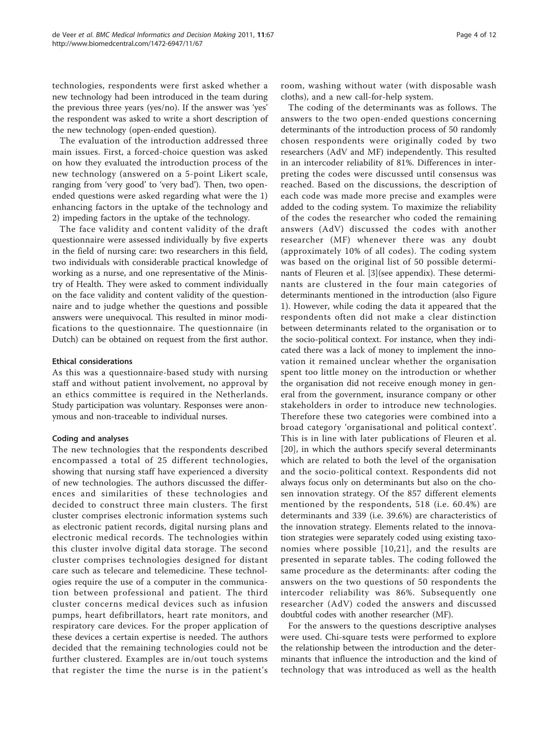technologies, respondents were first asked whether a new technology had been introduced in the team during the previous three years (yes/no). If the answer was 'yes' the respondent was asked to write a short description of the new technology (open-ended question).

The evaluation of the introduction addressed three main issues. First, a forced-choice question was asked on how they evaluated the introduction process of the new technology (answered on a 5-point Likert scale, ranging from 'very good' to 'very bad'). Then, two openended questions were asked regarding what were the 1) enhancing factors in the uptake of the technology and 2) impeding factors in the uptake of the technology.

The face validity and content validity of the draft questionnaire were assessed individually by five experts in the field of nursing care: two researchers in this field, two individuals with considerable practical knowledge of working as a nurse, and one representative of the Ministry of Health. They were asked to comment individually on the face validity and content validity of the questionnaire and to judge whether the questions and possible answers were unequivocal. This resulted in minor modifications to the questionnaire. The questionnaire (in Dutch) can be obtained on request from the first author.

#### Ethical considerations

As this was a questionnaire-based study with nursing staff and without patient involvement, no approval by an ethics committee is required in the Netherlands. Study participation was voluntary. Responses were anonymous and non-traceable to individual nurses.

#### Coding and analyses

The new technologies that the respondents described encompassed a total of 25 different technologies, showing that nursing staff have experienced a diversity of new technologies. The authors discussed the differences and similarities of these technologies and decided to construct three main clusters. The first cluster comprises electronic information systems such as electronic patient records, digital nursing plans and electronic medical records. The technologies within this cluster involve digital data storage. The second cluster comprises technologies designed for distant care such as telecare and telemedicine. These technologies require the use of a computer in the communication between professional and patient. The third cluster concerns medical devices such as infusion pumps, heart defibrillators, heart rate monitors, and respiratory care devices. For the proper application of these devices a certain expertise is needed. The authors decided that the remaining technologies could not be further clustered. Examples are in/out touch systems that register the time the nurse is in the patient's room, washing without water (with disposable wash cloths), and a new call-for-help system.

The coding of the determinants was as follows. The answers to the two open-ended questions concerning determinants of the introduction process of 50 randomly chosen respondents were originally coded by two researchers (AdV and MF) independently. This resulted in an intercoder reliability of 81%. Differences in interpreting the codes were discussed until consensus was reached. Based on the discussions, the description of each code was made more precise and examples were added to the coding system. To maximize the reliability of the codes the researcher who coded the remaining answers (AdV) discussed the codes with another researcher (MF) whenever there was any doubt (approximately 10% of all codes). The coding system was based on the original list of 50 possible determinants of Fleuren et al. [\[3](#page-10-0)](see appendix). These determinants are clustered in the four main categories of determinants mentioned in the introduction (also Figure [1\)](#page-1-0). However, while coding the data it appeared that the respondents often did not make a clear distinction between determinants related to the organisation or to the socio-political context. For instance, when they indicated there was a lack of money to implement the innovation it remained unclear whether the organisation spent too little money on the introduction or whether the organisation did not receive enough money in general from the government, insurance company or other stakeholders in order to introduce new technologies. Therefore these two categories were combined into a broad category 'organisational and political context'. This is in line with later publications of Fleuren et al. [[20](#page-11-0)], in which the authors specify several determinants which are related to both the level of the organisation and the socio-political context. Respondents did not always focus only on determinants but also on the chosen innovation strategy. Of the 857 different elements mentioned by the respondents, 518 (i.e. 60.4%) are determinants and 339 (i.e. 39.6%) are characteristics of the innovation strategy. Elements related to the innovation strategies were separately coded using existing taxonomies where possible [[10,](#page-10-0)[21\]](#page-11-0), and the results are presented in separate tables. The coding followed the same procedure as the determinants: after coding the answers on the two questions of 50 respondents the intercoder reliability was 86%. Subsequently one researcher (AdV) coded the answers and discussed doubtful codes with another researcher (MF).

For the answers to the questions descriptive analyses were used. Chi-square tests were performed to explore the relationship between the introduction and the determinants that influence the introduction and the kind of technology that was introduced as well as the health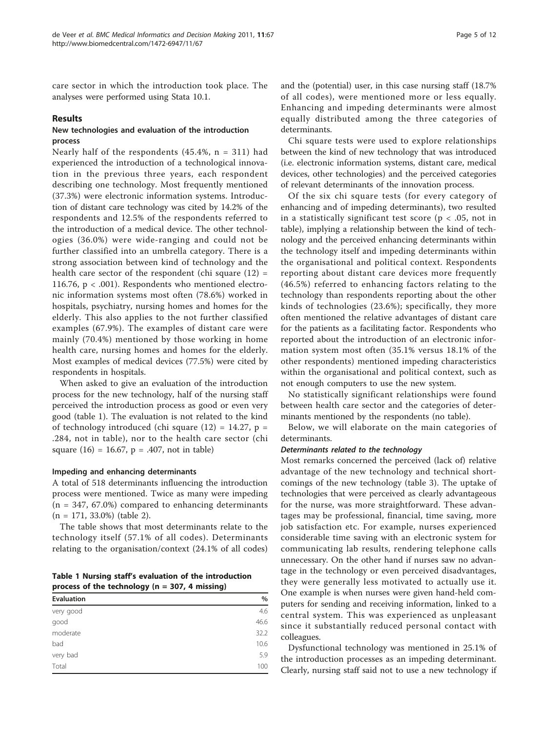care sector in which the introduction took place. The analyses were performed using Stata 10.1.

# Results

# New technologies and evaluation of the introduction process

Nearly half of the respondents  $(45.4\%, n = 311)$  had experienced the introduction of a technological innovation in the previous three years, each respondent describing one technology. Most frequently mentioned (37.3%) were electronic information systems. Introduction of distant care technology was cited by 14.2% of the respondents and 12.5% of the respondents referred to the introduction of a medical device. The other technologies (36.0%) were wide-ranging and could not be further classified into an umbrella category. There is a strong association between kind of technology and the health care sector of the respondent (chi square  $(12)$  = 116.76,  $p < .001$ ). Respondents who mentioned electronic information systems most often (78.6%) worked in hospitals, psychiatry, nursing homes and homes for the elderly. This also applies to the not further classified examples (67.9%). The examples of distant care were mainly (70.4%) mentioned by those working in home health care, nursing homes and homes for the elderly. Most examples of medical devices (77.5%) were cited by respondents in hospitals.

When asked to give an evaluation of the introduction process for the new technology, half of the nursing staff perceived the introduction process as good or even very good (table 1). The evaluation is not related to the kind of technology introduced (chi square  $(12) = 14.27$ , p = .284, not in table), nor to the health care sector (chi square  $(16) = 16.67$ ,  $p = .407$ , not in table)

#### Impeding and enhancing determinants

A total of 518 determinants influencing the introduction process were mentioned. Twice as many were impeding  $(n = 347, 67.0%)$  compared to enhancing determinants (n = 171, 33.0%) (table [2](#page-5-0)).

The table shows that most determinants relate to the technology itself (57.1% of all codes). Determinants relating to the organisation/context (24.1% of all codes)

Table 1 Nursing staff's evaluation of the introduction process of the technology ( $n = 307$ , 4 missing)

| <b>Evaluation</b> | $\%$ |
|-------------------|------|
| very good         | 4.6  |
| good              | 46.6 |
| moderate          | 32.2 |
| bad               | 10.6 |
| very bad          | 5.9  |
| Total             | 100  |

and the (potential) user, in this case nursing staff (18.7% of all codes), were mentioned more or less equally. Enhancing and impeding determinants were almost equally distributed among the three categories of determinants.

Chi square tests were used to explore relationships between the kind of new technology that was introduced (i.e. electronic information systems, distant care, medical devices, other technologies) and the perceived categories of relevant determinants of the innovation process.

Of the six chi square tests (for every category of enhancing and of impeding determinants), two resulted in a statistically significant test score ( $p < .05$ , not in table), implying a relationship between the kind of technology and the perceived enhancing determinants within the technology itself and impeding determinants within the organisational and political context. Respondents reporting about distant care devices more frequently (46.5%) referred to enhancing factors relating to the technology than respondents reporting about the other kinds of technologies (23.6%); specifically, they more often mentioned the relative advantages of distant care for the patients as a facilitating factor. Respondents who reported about the introduction of an electronic information system most often (35.1% versus 18.1% of the other respondents) mentioned impeding characteristics within the organisational and political context, such as not enough computers to use the new system.

No statistically significant relationships were found between health care sector and the categories of determinants mentioned by the respondents (no table).

Below, we will elaborate on the main categories of determinants.

# Determinants related to the technology

Most remarks concerned the perceived (lack of) relative advantage of the new technology and technical shortcomings of the new technology (table [3\)](#page-5-0). The uptake of technologies that were perceived as clearly advantageous for the nurse, was more straightforward. These advantages may be professional, financial, time saving, more job satisfaction etc. For example, nurses experienced considerable time saving with an electronic system for communicating lab results, rendering telephone calls unnecessary. On the other hand if nurses saw no advantage in the technology or even perceived disadvantages, they were generally less motivated to actually use it. One example is when nurses were given hand-held computers for sending and receiving information, linked to a central system. This was experienced as unpleasant since it substantially reduced personal contact with colleagues.

Dysfunctional technology was mentioned in 25.1% of the introduction processes as an impeding determinant. Clearly, nursing staff said not to use a new technology if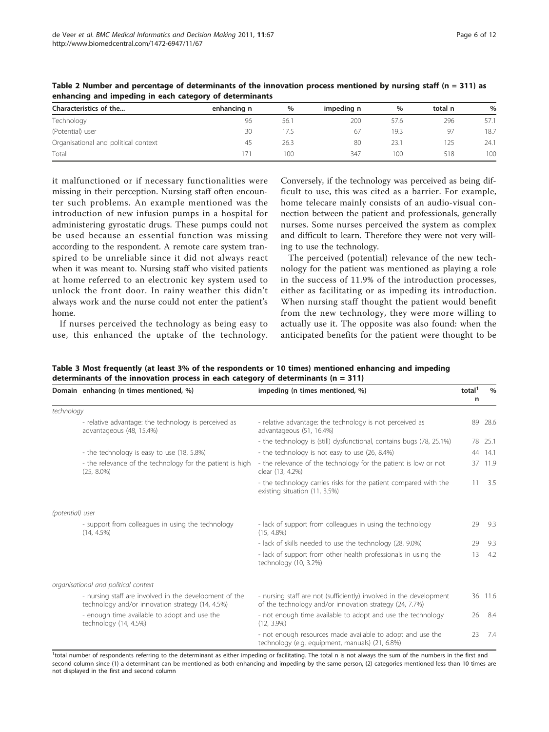| Characteristics of the               | enhancing n | $\%$ | impeding n | $\frac{0}{0}$ | total n | $\%$ |
|--------------------------------------|-------------|------|------------|---------------|---------|------|
| Technology                           | 96          | 56.1 | 200        | 57.6          | 296     | 57.1 |
| (Potential) user                     | 30          | 7.5  | 67         | 19.3          | 97      | 18.7 |
| Organisational and political context | 45          | 26.3 | 80         | 23.7          | 125     | 24.1 |
| Total                                |             | 100  | 347        | 100           | 518     | 100  |

<span id="page-5-0"></span>Table 2 Number and percentage of determinants of the innovation process mentioned by nursing staff ( $n = 311$ ) as enhancing and impeding in each category of determinants

it malfunctioned or if necessary functionalities were missing in their perception. Nursing staff often encounter such problems. An example mentioned was the introduction of new infusion pumps in a hospital for administering gyrostatic drugs. These pumps could not be used because an essential function was missing according to the respondent. A remote care system transpired to be unreliable since it did not always react when it was meant to. Nursing staff who visited patients at home referred to an electronic key system used to unlock the front door. In rainy weather this didn't always work and the nurse could not enter the patient's home.

If nurses perceived the technology as being easy to use, this enhanced the uptake of the technology.

Conversely, if the technology was perceived as being difficult to use, this was cited as a barrier. For example, home telecare mainly consists of an audio-visual connection between the patient and professionals, generally nurses. Some nurses perceived the system as complex and difficult to learn. Therefore they were not very willing to use the technology.

The perceived (potential) relevance of the new technology for the patient was mentioned as playing a role in the success of 11.9% of the introduction processes, either as facilitating or as impeding its introduction. When nursing staff thought the patient would benefit from the new technology, they were more willing to actually use it. The opposite was also found: when the anticipated benefits for the patient were thought to be

Table 3 Most frequently (at least 3% of the respondents or 10 times) mentioned enhancing and impeding determinants of the innovation process in each category of determinants ( $n = 311$ )

|                                                                    | Domain enhancing (n times mentioned, %)                                                                    | impeding (n times mentioned, %)                                                                                               | total <sup>1</sup><br>n | $\%$    |
|--------------------------------------------------------------------|------------------------------------------------------------------------------------------------------------|-------------------------------------------------------------------------------------------------------------------------------|-------------------------|---------|
| technology                                                         |                                                                                                            |                                                                                                                               |                         |         |
|                                                                    | - relative advantage: the technology is perceived as<br>advantageous (48, 15.4%)                           | - relative advantage: the technology is not perceived as<br>advantageous (51, 16.4%)                                          | 89                      | 28.6    |
|                                                                    |                                                                                                            | - the technology is (still) dysfunctional, contains bugs (78, 25.1%)                                                          | 78                      | 25.1    |
|                                                                    | - the technology is easy to use (18, 5.8%)                                                                 | - the technology is not easy to use (26, 8.4%)                                                                                | 44                      | 14.1    |
|                                                                    | - the relevance of the technology for the patient is high<br>$(25, 8.0\%)$                                 | - the relevance of the technology for the patient is low or not<br>clear (13, 4.2%)                                           | 37                      | 11.9    |
|                                                                    |                                                                                                            | - the technology carries risks for the patient compared with the<br>existing situation (11, 3.5%)                             | 11                      | -3.5    |
| (potential) user                                                   |                                                                                                            |                                                                                                                               |                         |         |
| - support from colleagues in using the technology<br>$(14, 4.5\%)$ | - lack of support from colleagues in using the technology<br>$(15, 4.8\%)$                                 | 29                                                                                                                            | 9.3                     |         |
|                                                                    |                                                                                                            | - lack of skills needed to use the technology (28, 9.0%)                                                                      | 29                      | 9.3     |
|                                                                    |                                                                                                            | - lack of support from other health professionals in using the<br>technology (10, 3.2%)                                       | 13                      | 4.2     |
|                                                                    | organisational and political context                                                                       |                                                                                                                               |                         |         |
|                                                                    | - nursing staff are involved in the development of the<br>technology and/or innovation strategy (14, 4.5%) | - nursing staff are not (sufficiently) involved in the development<br>of the technology and/or innovation strategy (24, 7.7%) |                         | 36 11.6 |
|                                                                    | - enough time available to adopt and use the<br>technology (14, 4.5%)                                      | - not enough time available to adopt and use the technology<br>$(12, 3.9\%)$                                                  | 26                      | -8.4    |
|                                                                    |                                                                                                            | - not enough resources made available to adopt and use the<br>technology (e.g. equipment, manuals) (21, 6.8%)                 | 23                      | -7.4    |

<sup>1</sup>total number of respondents referring to the determinant as either impeding or facilitating. The total n is not always the sum of the numbers in the first and second column since (1) a determinant can be mentioned as both enhancing and impeding by the same person, (2) categories mentioned less than 10 times are not displayed in the first and second column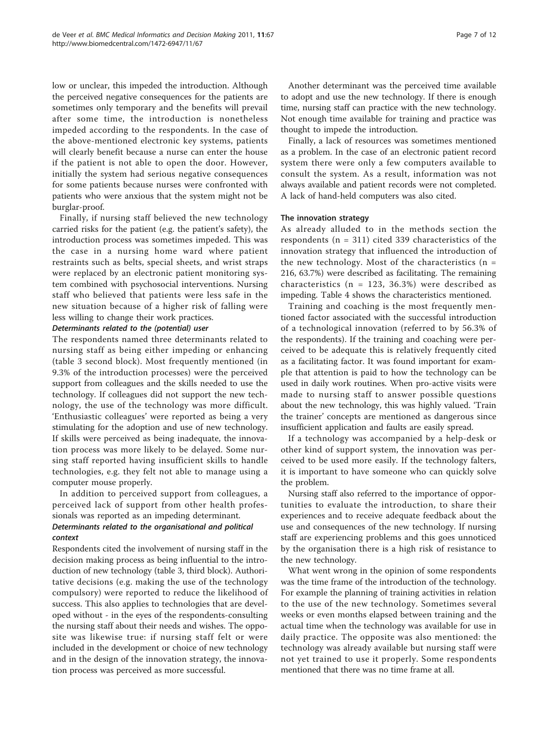low or unclear, this impeded the introduction. Although the perceived negative consequences for the patients are sometimes only temporary and the benefits will prevail after some time, the introduction is nonetheless impeded according to the respondents. In the case of the above-mentioned electronic key systems, patients will clearly benefit because a nurse can enter the house if the patient is not able to open the door. However, initially the system had serious negative consequences for some patients because nurses were confronted with patients who were anxious that the system might not be burglar-proof.

Finally, if nursing staff believed the new technology carried risks for the patient (e.g. the patient's safety), the introduction process was sometimes impeded. This was the case in a nursing home ward where patient restraints such as belts, special sheets, and wrist straps were replaced by an electronic patient monitoring system combined with psychosocial interventions. Nursing staff who believed that patients were less safe in the new situation because of a higher risk of falling were less willing to change their work practices.

#### Determinants related to the (potential) user

The respondents named three determinants related to nursing staff as being either impeding or enhancing (table [3](#page-5-0) second block). Most frequently mentioned (in 9.3% of the introduction processes) were the perceived support from colleagues and the skills needed to use the technology. If colleagues did not support the new technology, the use of the technology was more difficult. 'Enthusiastic colleagues' were reported as being a very stimulating for the adoption and use of new technology. If skills were perceived as being inadequate, the innovation process was more likely to be delayed. Some nursing staff reported having insufficient skills to handle technologies, e.g. they felt not able to manage using a computer mouse properly.

In addition to perceived support from colleagues, a perceived lack of support from other health professionals was reported as an impeding determinant.

# Determinants related to the organisational and political context

Respondents cited the involvement of nursing staff in the decision making process as being influential to the introduction of new technology (table [3,](#page-5-0) third block). Authoritative decisions (e.g. making the use of the technology compulsory) were reported to reduce the likelihood of success. This also applies to technologies that are developed without - in the eyes of the respondents-consulting the nursing staff about their needs and wishes. The opposite was likewise true: if nursing staff felt or were included in the development or choice of new technology and in the design of the innovation strategy, the innovation process was perceived as more successful.

Another determinant was the perceived time available to adopt and use the new technology. If there is enough time, nursing staff can practice with the new technology. Not enough time available for training and practice was thought to impede the introduction.

Finally, a lack of resources was sometimes mentioned as a problem. In the case of an electronic patient record system there were only a few computers available to consult the system. As a result, information was not always available and patient records were not completed. A lack of hand-held computers was also cited.

#### The innovation strategy

As already alluded to in the methods section the respondents ( $n = 311$ ) cited 339 characteristics of the innovation strategy that influenced the introduction of the new technology. Most of the characteristics  $(n =$ 216, 63.7%) were described as facilitating. The remaining characteristics ( $n = 123, 36.3\%$ ) were described as impeding. Table [4](#page-7-0) shows the characteristics mentioned.

Training and coaching is the most frequently mentioned factor associated with the successful introduction of a technological innovation (referred to by 56.3% of the respondents). If the training and coaching were perceived to be adequate this is relatively frequently cited as a facilitating factor. It was found important for example that attention is paid to how the technology can be used in daily work routines. When pro-active visits were made to nursing staff to answer possible questions about the new technology, this was highly valued. 'Train the trainer' concepts are mentioned as dangerous since insufficient application and faults are easily spread.

If a technology was accompanied by a help-desk or other kind of support system, the innovation was perceived to be used more easily. If the technology falters, it is important to have someone who can quickly solve the problem.

Nursing staff also referred to the importance of opportunities to evaluate the introduction, to share their experiences and to receive adequate feedback about the use and consequences of the new technology. If nursing staff are experiencing problems and this goes unnoticed by the organisation there is a high risk of resistance to the new technology.

What went wrong in the opinion of some respondents was the time frame of the introduction of the technology. For example the planning of training activities in relation to the use of the new technology. Sometimes several weeks or even months elapsed between training and the actual time when the technology was available for use in daily practice. The opposite was also mentioned: the technology was already available but nursing staff were not yet trained to use it properly. Some respondents mentioned that there was no time frame at all.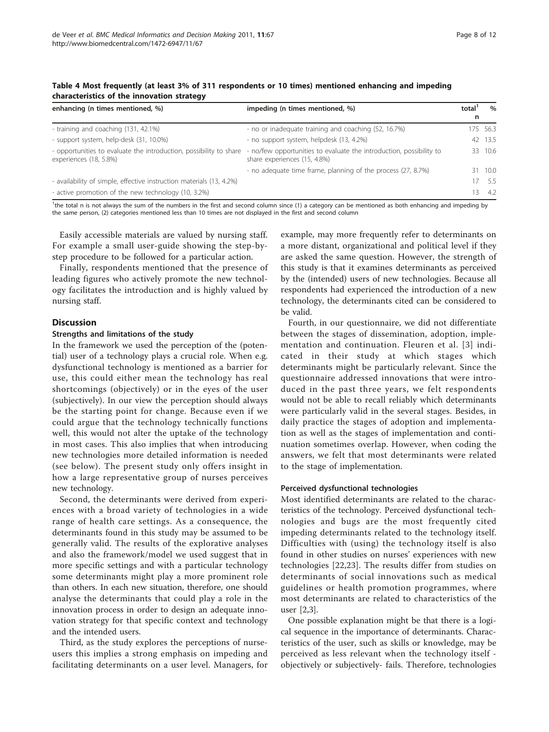| enhancing (n times mentioned, %)                                                             | impeding (n times mentioned, %)                                                                     |   | $\%$    |
|----------------------------------------------------------------------------------------------|-----------------------------------------------------------------------------------------------------|---|---------|
|                                                                                              |                                                                                                     | n |         |
| - training and coaching (131, 42.1%)                                                         | - no or inadequate training and coaching (52, 16.7%)                                                |   | 75 56.3 |
| - support system, help-desk (31, 10.0%)                                                      | - no support system, helpdesk (13, 4.2%)                                                            |   | 42 13.5 |
| - opportunities to evaluate the introduction, possibility to share<br>experiences (18, 5.8%) | - no/few opportunities to evaluate the introduction, possibility to<br>share experiences (15, 4.8%) |   | 33 10.6 |
|                                                                                              | - no adequate time frame, planning of the process (27, 8.7%)                                        |   | 31 10.0 |
| - availability of simple, effective instruction materials (13, 4.2%)                         |                                                                                                     |   | - 5.5   |
| - active promotion of the new technology (10, 3.2%)                                          |                                                                                                     |   | 4.2     |

<span id="page-7-0"></span>Table 4 Most frequently (at least 3% of 311 respondents or 10 times) mentioned enhancing and impeding characteristics of the innovation strategy

<sup>1</sup>the total n is not always the sum of the numbers in the first and second column since (1) a category can be mentioned as both enhancing and impeding by the same person, (2) categories mentioned less than 10 times are not displayed in the first and second column

Easily accessible materials are valued by nursing staff. For example a small user-guide showing the step-bystep procedure to be followed for a particular action.

Finally, respondents mentioned that the presence of leading figures who actively promote the new technology facilitates the introduction and is highly valued by nursing staff.

# Discussion

#### Strengths and limitations of the study

In the framework we used the perception of the (potential) user of a technology plays a crucial role. When e.g. dysfunctional technology is mentioned as a barrier for use, this could either mean the technology has real shortcomings (objectively) or in the eyes of the user (subjectively). In our view the perception should always be the starting point for change. Because even if we could argue that the technology technically functions well, this would not alter the uptake of the technology in most cases. This also implies that when introducing new technologies more detailed information is needed (see below). The present study only offers insight in how a large representative group of nurses perceives new technology.

Second, the determinants were derived from experiences with a broad variety of technologies in a wide range of health care settings. As a consequence, the determinants found in this study may be assumed to be generally valid. The results of the explorative analyses and also the framework/model we used suggest that in more specific settings and with a particular technology some determinants might play a more prominent role than others. In each new situation, therefore, one should analyse the determinants that could play a role in the innovation process in order to design an adequate innovation strategy for that specific context and technology and the intended users.

Third, as the study explores the perceptions of nurseusers this implies a strong emphasis on impeding and facilitating determinants on a user level. Managers, for example, may more frequently refer to determinants on a more distant, organizational and political level if they are asked the same question. However, the strength of this study is that it examines determinants as perceived by the (intended) users of new technologies. Because all respondents had experienced the introduction of a new technology, the determinants cited can be considered to be valid.

Fourth, in our questionnaire, we did not differentiate between the stages of dissemination, adoption, implementation and continuation. Fleuren et al. [[3](#page-10-0)] indicated in their study at which stages which determinants might be particularly relevant. Since the questionnaire addressed innovations that were introduced in the past three years, we felt respondents would not be able to recall reliably which determinants were particularly valid in the several stages. Besides, in daily practice the stages of adoption and implementation as well as the stages of implementation and continuation sometimes overlap. However, when coding the answers, we felt that most determinants were related to the stage of implementation.

#### Perceived dysfunctional technologies

Most identified determinants are related to the characteristics of the technology. Perceived dysfunctional technologies and bugs are the most frequently cited impeding determinants related to the technology itself. Difficulties with (using) the technology itself is also found in other studies on nurses' experiences with new technologies [[22,23](#page-11-0)]. The results differ from studies on determinants of social innovations such as medical guidelines or health promotion programmes, where most determinants are related to characteristics of the user [\[2,3](#page-10-0)].

One possible explanation might be that there is a logical sequence in the importance of determinants. Characteristics of the user, such as skills or knowledge, may be perceived as less relevant when the technology itself objectively or subjectively- fails. Therefore, technologies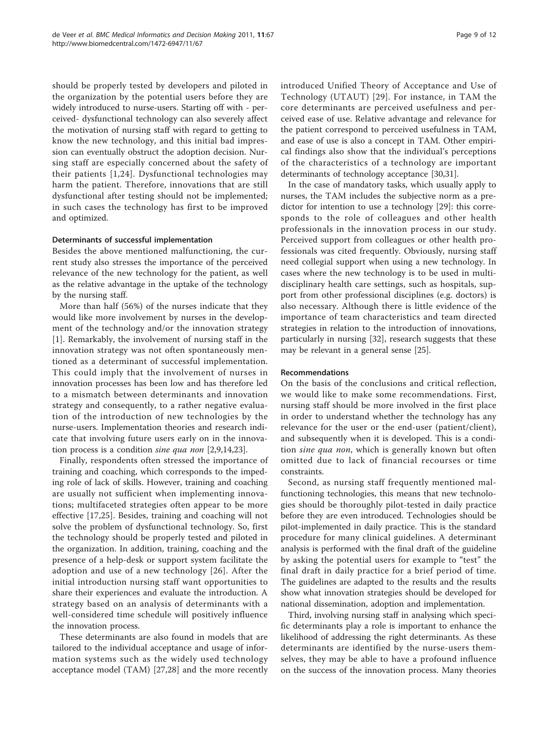should be properly tested by developers and piloted in the organization by the potential users before they are widely introduced to nurse-users. Starting off with - perceived- dysfunctional technology can also severely affect the motivation of nursing staff with regard to getting to know the new technology, and this initial bad impression can eventually obstruct the adoption decision. Nursing staff are especially concerned about the safety of their patients [[1,](#page-10-0)[24\]](#page-11-0). Dysfunctional technologies may harm the patient. Therefore, innovations that are still dysfunctional after testing should not be implemented; in such cases the technology has first to be improved and optimized.

#### Determinants of successful implementation

Besides the above mentioned malfunctioning, the current study also stresses the importance of the perceived relevance of the new technology for the patient, as well as the relative advantage in the uptake of the technology by the nursing staff.

More than half (56%) of the nurses indicate that they would like more involvement by nurses in the development of the technology and/or the innovation strategy [[1\]](#page-10-0). Remarkably, the involvement of nursing staff in the innovation strategy was not often spontaneously mentioned as a determinant of successful implementation. This could imply that the involvement of nurses in innovation processes has been low and has therefore led to a mismatch between determinants and innovation strategy and consequently, to a rather negative evaluation of the introduction of new technologies by the nurse-users. Implementation theories and research indicate that involving future users early on in the innovation process is a condition sine qua non [[2,9,14,](#page-10-0)[23\]](#page-11-0).

Finally, respondents often stressed the importance of training and coaching, which corresponds to the impeding role of lack of skills. However, training and coaching are usually not sufficient when implementing innovations; multifaceted strategies often appear to be more effective [\[17](#page-10-0),[25](#page-11-0)]. Besides, training and coaching will not solve the problem of dysfunctional technology. So, first the technology should be properly tested and piloted in the organization. In addition, training, coaching and the presence of a help-desk or support system facilitate the adoption and use of a new technology [\[26\]](#page-11-0). After the initial introduction nursing staff want opportunities to share their experiences and evaluate the introduction. A strategy based on an analysis of determinants with a well-considered time schedule will positively influence the innovation process.

These determinants are also found in models that are tailored to the individual acceptance and usage of information systems such as the widely used technology acceptance model (TAM) [[27,28\]](#page-11-0) and the more recently introduced Unified Theory of Acceptance and Use of Technology (UTAUT) [[29\]](#page-11-0). For instance, in TAM the core determinants are perceived usefulness and perceived ease of use. Relative advantage and relevance for the patient correspond to perceived usefulness in TAM, and ease of use is also a concept in TAM. Other empirical findings also show that the individual's perceptions of the characteristics of a technology are important determinants of technology acceptance [[30,31\]](#page-11-0).

In the case of mandatory tasks, which usually apply to nurses, the TAM includes the subjective norm as a predictor for intention to use a technology [[29](#page-11-0)]: this corresponds to the role of colleagues and other health professionals in the innovation process in our study. Perceived support from colleagues or other health professionals was cited frequently. Obviously, nursing staff need collegial support when using a new technology. In cases where the new technology is to be used in multidisciplinary health care settings, such as hospitals, support from other professional disciplines (e.g. doctors) is also necessary. Although there is little evidence of the importance of team characteristics and team directed strategies in relation to the introduction of innovations, particularly in nursing [[32\]](#page-11-0), research suggests that these may be relevant in a general sense [[25](#page-11-0)].

#### Recommendations

On the basis of the conclusions and critical reflection, we would like to make some recommendations. First, nursing staff should be more involved in the first place in order to understand whether the technology has any relevance for the user or the end-user (patient/client), and subsequently when it is developed. This is a condition sine qua non, which is generally known but often omitted due to lack of financial recourses or time constraints.

Second, as nursing staff frequently mentioned malfunctioning technologies, this means that new technologies should be thoroughly pilot-tested in daily practice before they are even introduced. Technologies should be pilot-implemented in daily practice. This is the standard procedure for many clinical guidelines. A determinant analysis is performed with the final draft of the guideline by asking the potential users for example to "test" the final draft in daily practice for a brief period of time. The guidelines are adapted to the results and the results show what innovation strategies should be developed for national dissemination, adoption and implementation.

Third, involving nursing staff in analysing which specific determinants play a role is important to enhance the likelihood of addressing the right determinants. As these determinants are identified by the nurse-users themselves, they may be able to have a profound influence on the success of the innovation process. Many theories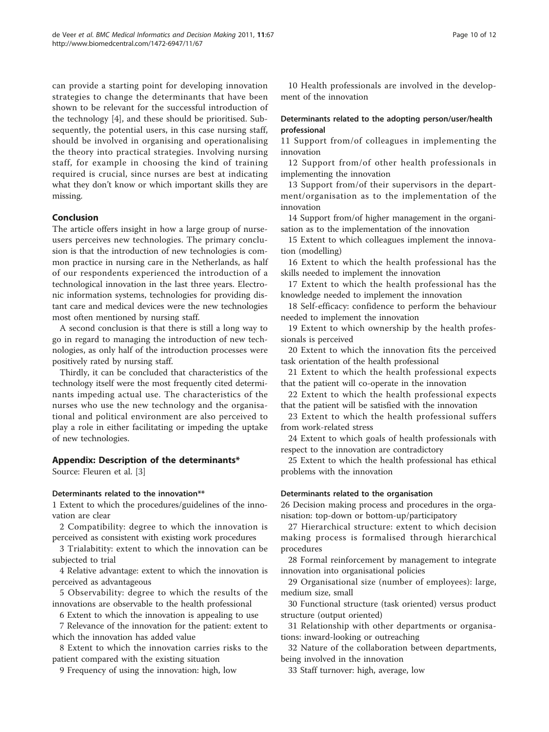can provide a starting point for developing innovation strategies to change the determinants that have been shown to be relevant for the successful introduction of the technology [\[4\]](#page-10-0), and these should be prioritised. Subsequently, the potential users, in this case nursing staff, should be involved in organising and operationalising the theory into practical strategies. Involving nursing staff, for example in choosing the kind of training required is crucial, since nurses are best at indicating what they don't know or which important skills they are missing.

# Conclusion

The article offers insight in how a large group of nurseusers perceives new technologies. The primary conclusion is that the introduction of new technologies is common practice in nursing care in the Netherlands, as half of our respondents experienced the introduction of a technological innovation in the last three years. Electronic information systems, technologies for providing distant care and medical devices were the new technologies most often mentioned by nursing staff.

A second conclusion is that there is still a long way to go in regard to managing the introduction of new technologies, as only half of the introduction processes were positively rated by nursing staff.

Thirdly, it can be concluded that characteristics of the technology itself were the most frequently cited determinants impeding actual use. The characteristics of the nurses who use the new technology and the organisational and political environment are also perceived to play a role in either facilitating or impeding the uptake of new technologies.

#### Appendix: Description of the determinants\*

Source: Fleuren et al. [\[3\]](#page-10-0)

#### Determinants related to the innovation\*\*

1 Extent to which the procedures/guidelines of the innovation are clear

2 Compatibility: degree to which the innovation is perceived as consistent with existing work procedures

3 Trialabitity: extent to which the innovation can be subjected to trial

4 Relative advantage: extent to which the innovation is perceived as advantageous

5 Observability: degree to which the results of the innovations are observable to the health professional

6 Extent to which the innovation is appealing to use

7 Relevance of the innovation for the patient: extent to which the innovation has added value

8 Extent to which the innovation carries risks to the patient compared with the existing situation

9 Frequency of using the innovation: high, low

10 Health professionals are involved in the development of the innovation

# Determinants related to the adopting person/user/health professional

11 Support from/of colleagues in implementing the innovation

12 Support from/of other health professionals in implementing the innovation

13 Support from/of their supervisors in the department/organisation as to the implementation of the innovation

14 Support from/of higher management in the organisation as to the implementation of the innovation

15 Extent to which colleagues implement the innovation (modelling)

16 Extent to which the health professional has the skills needed to implement the innovation

17 Extent to which the health professional has the knowledge needed to implement the innovation

18 Self-efficacy: confidence to perform the behaviour needed to implement the innovation

19 Extent to which ownership by the health professionals is perceived

20 Extent to which the innovation fits the perceived task orientation of the health professional

21 Extent to which the health professional expects that the patient will co-operate in the innovation

22 Extent to which the health professional expects that the patient will be satisfied with the innovation

23 Extent to which the health professional suffers from work-related stress

24 Extent to which goals of health professionals with respect to the innovation are contradictory

25 Extent to which the health professional has ethical problems with the innovation

# Determinants related to the organisation

26 Decision making process and procedures in the organisation: top-down or bottom-up/participatory

27 Hierarchical structure: extent to which decision making process is formalised through hierarchical procedures

28 Formal reinforcement by management to integrate innovation into organisational policies

29 Organisational size (number of employees): large, medium size, small

30 Functional structure (task oriented) versus product structure (output oriented)

31 Relationship with other departments or organisations: inward-looking or outreaching

32 Nature of the collaboration between departments, being involved in the innovation

33 Staff turnover: high, average, low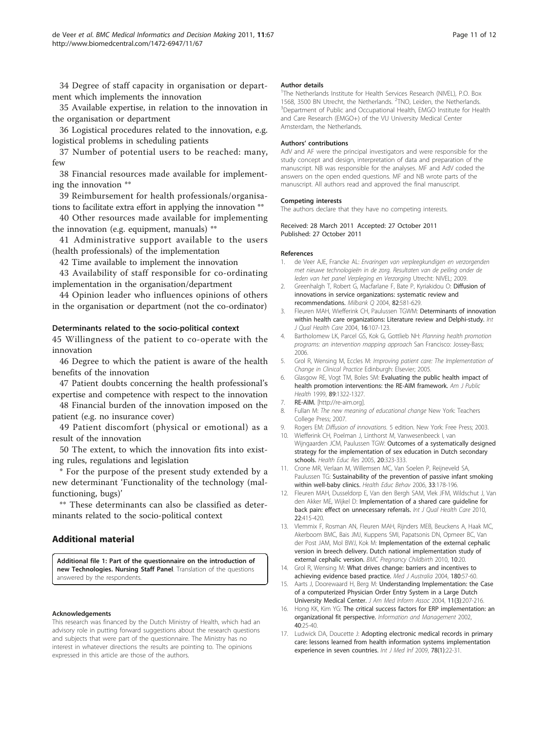<span id="page-10-0"></span>34 Degree of staff capacity in organisation or department which implements the innovation

35 Available expertise, in relation to the innovation in the organisation or department

36 Logistical procedures related to the innovation, e.g. logistical problems in scheduling patients

37 Number of potential users to be reached: many, few

38 Financial resources made available for implementing the innovation \*\*

39 Reimbursement for health professionals/organisations to facilitate extra effort in applying the innovation \*\*

40 Other resources made available for implementing the innovation (e.g. equipment, manuals) \*\*

41 Administrative support available to the users (health professionals) of the implementation

42 Time available to implement the innovation

43 Availability of staff responsible for co-ordinating implementation in the organisation/department

44 Opinion leader who influences opinions of others in the organisation or department (not the co-ordinator)

#### Determinants related to the socio-political context

45 Willingness of the patient to co-operate with the innovation

46 Degree to which the patient is aware of the health benefits of the innovation

47 Patient doubts concerning the health professional's expertise and competence with respect to the innovation

48 Financial burden of the innovation imposed on the patient (e.g. no insurance cover)

49 Patient discomfort (physical or emotional) as a result of the innovation

50 The extent, to which the innovation fits into existing rules, regulations and legislation

For the purpose of the present study extended by a new determinant 'Functionality of the technology (malfunctioning, bugs)'

\*\* These determinants can also be classified as determinants related to the socio-political context

# Additional material

[Additional file 1: P](http://www.biomedcentral.com/content/supplementary/1472-6947-11-67-S1.DOC)art of the questionnaire on the introduction of new Technologies. Nursing Staff Panel. Translation of the questions answered by the respondents.

#### Acknowledgements

This research was financed by the Dutch Ministry of Health, which had an advisory role in putting forward suggestions about the research questions and subjects that were part of the questionnaire. The Ministry has no interest in whatever directions the results are pointing to. The opinions expressed in this article are those of the authors.

#### Author details

<sup>1</sup>The Netherlands Institute for Health Services Research (NIVEL), P.O. Box 1568, 3500 BN Utrecht, the Netherlands. <sup>2</sup>TNO, Leiden, the Netherlands.<br><sup>3</sup>Department of Public and Occupational Health, EMGO Institute for He <sup>3</sup>Department of Public and Occupational Health, EMGO Institute for Health and Care Research (EMGO+) of the VU University Medical Center Amsterdam, the Netherlands.

#### Authors' contributions

AdV and AF were the principal investigators and were responsible for the study concept and design, interpretation of data and preparation of the manuscript. NB was responsible for the analyses. MF and AdV coded the answers on the open ended questions. MF and NB wrote parts of the manuscript. All authors read and approved the final manuscript.

#### Competing interests

The authors declare that they have no competing interests.

#### Received: 28 March 2011 Accepted: 27 October 2011 Published: 27 October 2011

#### References

- 1. de Veer AJE, Francke AL: Ervaringen van verpleegkundigen en verzorgenden met nieuwe technologieën in de zorg. Resultaten van de peiling onder de leden van het panel Verpleging en Verzorging Utrecht: NIVEL; 2009.
- Greenhalgh T, Robert G, Macfarlane F, Bate P, Kyriakidou O: Diffusion of innovations in service organizations: systematic review and recommendations. Milbank Q 2004, 82:581-629.
- 3. Fleuren MAH, Wiefferink CH, Paulussen TGWM: Determinants of innovation within health care organizations: Literature review and Delphi-study. Int J Qual Health Care 2004, 16:107-123.
- Bartholomew LK, Parcel GS, Kok G, Gottlieb NH: Planning health promotion programs: an intervention mapping approach San Francisco: Jossey-Bass; 2006.
- 5. Grol R, Wensing M, Eccles M: Improving patient care: The Implementation of Change in Clinical Practice Edinburgh: Elsevier; 2005.
- 6. Glasgow RE, Vogt TM, Boles SM: Evaluating the public health impact of health promotion interventions: the RE-AIM framework. Am J Public Health 1999, 89:1322-1327.
- 7. RE-AIM. [\[http://re-aim.org](http://re-aim.org)].
- 8. Fullan M: The new meaning of educational change New York: Teachers College Press; 2007.
- 9. Rogers EM: Diffusion of innovations. 5 edition. New York: Free Press; 2003.
- 10. Wiefferink CH, Poelman J, Linthorst M, Vanwesenbeeck I, van Wijngaarden JCM, Paulussen TGW: Outcomes of a systematically designed strategy for the implementation of sex education in Dutch secondary schools. Health Educ Res 2005, 20:323-333.
- 11. Crone MR, Verlaan M, Willemsen MC, Van Soelen P, Reijneveld SA, Paulussen TG: Sustainability of the prevention of passive infant smoking within well-baby clinics. Health Educ Behav 2006, 33:178-196.
- 12. Fleuren MAH, Dusseldorp E, Van den Bergh SAM, Vlek JFM, Wildschut J, Van den Akker ME, Wijkel D: Implementation of a shared care guideline for back pain: effect on unnecessary referrals. Int J Qual Health Care 2010, 22:415-420.
- 13. Vlemmix F, Rosman AN, Fleuren MAH, Rijnders MEB, Beuckens A, Haak MC, Akerboom BMC, Bais JMJ, Kuppens SMI, Papatsonis DN, Opmeer BC, Van der Post JAM, Mol BWJ, Kok M: Implementation of the external cephalic version in breech delivery. Dutch national implementation study of external cephalic version. BMC Pregnancy Childbirth 2010, 10:20.
- 14. Grol R, Wensing M: What drives change: barriers and incentives to achieving evidence based practice. Med J Australia 2004, 180:57-60.
- 15. Aarts J, Doorewaard H, Berg M: Understanding Implementation: the Case of a computerized Physician Order Entry System in a Large Dutch University Medical Center. J Am Med Inform Assoc 2004, 11(3):207-216.
- 16. Hong KK, Kim YG: The critical success factors for ERP implementation: an organizational fit perspective. Information and Management 2002, 40:25-40.
- 17. Ludwick DA, Doucette J: Adopting electronic medical records in primary care: lessons learned from health information systems implementation experience in seven countries. Int J Med Inf 2009, 78(1):22-31.